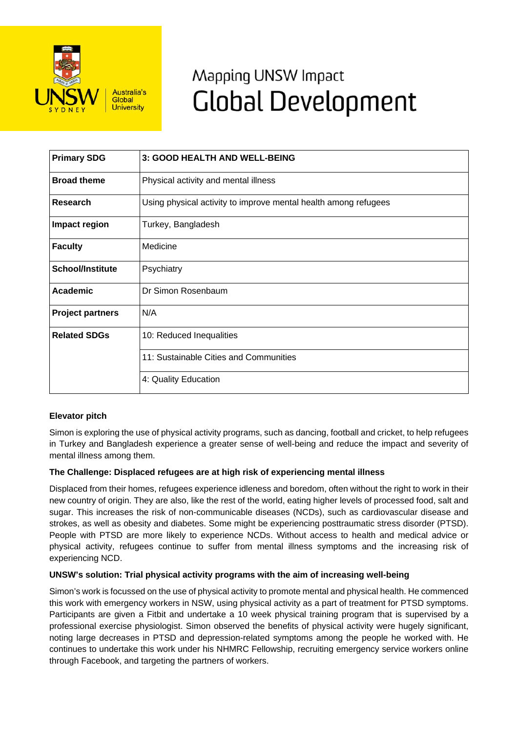

# Mapping UNSW Impact **Global Development**

| <b>Primary SDG</b>      | 3: GOOD HEALTH AND WELL-BEING                                   |
|-------------------------|-----------------------------------------------------------------|
| <b>Broad theme</b>      | Physical activity and mental illness                            |
| Research                | Using physical activity to improve mental health among refugees |
| Impact region           | Turkey, Bangladesh                                              |
| <b>Faculty</b>          | Medicine                                                        |
| <b>School/Institute</b> | Psychiatry                                                      |
| <b>Academic</b>         | Dr Simon Rosenbaum                                              |
| <b>Project partners</b> | N/A                                                             |
| <b>Related SDGs</b>     | 10: Reduced Inequalities                                        |
|                         | 11: Sustainable Cities and Communities                          |
|                         | 4: Quality Education                                            |

# **Elevator pitch**

Simon is exploring the use of physical activity programs, such as dancing, football and cricket, to help refugees in Turkey and Bangladesh experience a greater sense of well-being and reduce the impact and severity of mental illness among them.

# **The Challenge: Displaced refugees are at high risk of experiencing mental illness**

Displaced from their homes, refugees experience idleness and boredom, often without the right to work in their new country of origin. They are also, like the rest of the world, eating higher levels of processed food, salt and sugar. This increases the risk of non-communicable diseases (NCDs), such as cardiovascular disease and strokes, as well as obesity and diabetes. Some might be experiencing posttraumatic stress disorder (PTSD). People with PTSD are more likely to experience NCDs. Without access to health and medical advice or physical activity, refugees continue to suffer from mental illness symptoms and the increasing risk of experiencing NCD.

# **UNSW's solution: Trial physical activity programs with the aim of increasing well-being**

Simon's work is focussed on the use of physical activity to promote mental and physical health. He commenced this work with emergency workers in NSW, using physical activity as a part of treatment for PTSD symptoms. Participants are given a Fitbit and undertake a 10 week physical training program that is supervised by a professional exercise physiologist. Simon observed the benefits of physical activity were hugely significant, noting large decreases in PTSD and depression-related symptoms among the people he worked with. He continues to undertake this work under his NHMRC Fellowship, recruiting emergency service workers online through Facebook, and targeting the partners of workers.